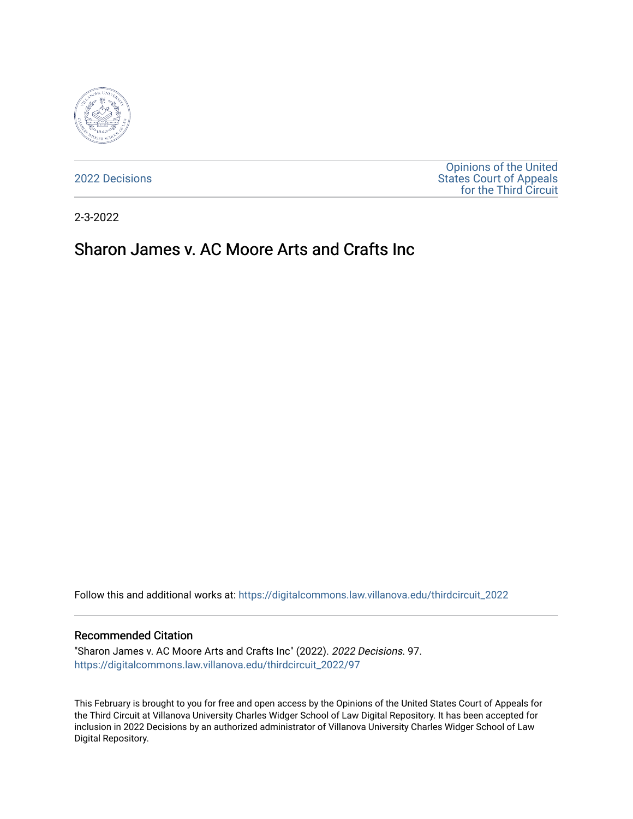

[2022 Decisions](https://digitalcommons.law.villanova.edu/thirdcircuit_2022)

[Opinions of the United](https://digitalcommons.law.villanova.edu/thirdcircuit)  [States Court of Appeals](https://digitalcommons.law.villanova.edu/thirdcircuit)  [for the Third Circuit](https://digitalcommons.law.villanova.edu/thirdcircuit) 

2-3-2022

# Sharon James v. AC Moore Arts and Crafts Inc

Follow this and additional works at: [https://digitalcommons.law.villanova.edu/thirdcircuit\\_2022](https://digitalcommons.law.villanova.edu/thirdcircuit_2022?utm_source=digitalcommons.law.villanova.edu%2Fthirdcircuit_2022%2F97&utm_medium=PDF&utm_campaign=PDFCoverPages) 

#### Recommended Citation

"Sharon James v. AC Moore Arts and Crafts Inc" (2022). 2022 Decisions. 97. [https://digitalcommons.law.villanova.edu/thirdcircuit\\_2022/97](https://digitalcommons.law.villanova.edu/thirdcircuit_2022/97?utm_source=digitalcommons.law.villanova.edu%2Fthirdcircuit_2022%2F97&utm_medium=PDF&utm_campaign=PDFCoverPages)

This February is brought to you for free and open access by the Opinions of the United States Court of Appeals for the Third Circuit at Villanova University Charles Widger School of Law Digital Repository. It has been accepted for inclusion in 2022 Decisions by an authorized administrator of Villanova University Charles Widger School of Law Digital Repository.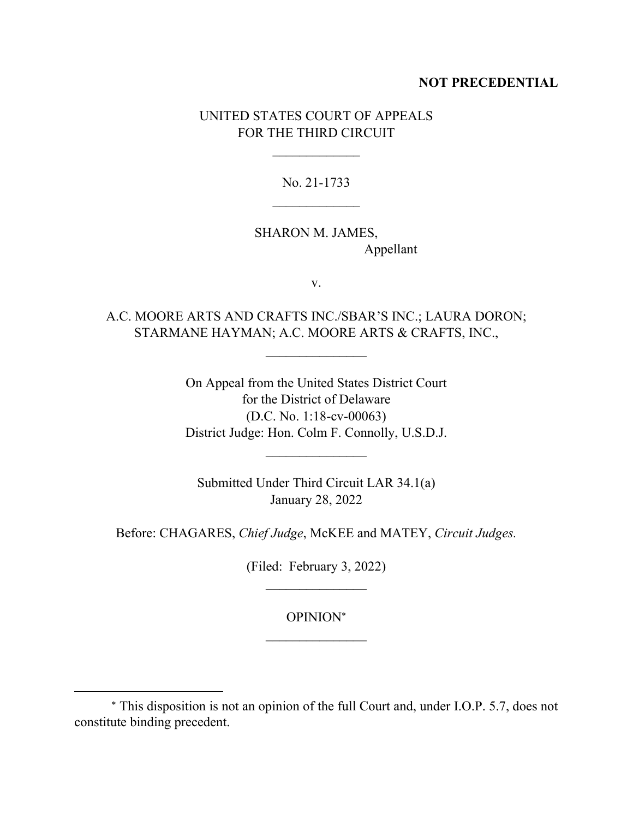## **NOT PRECEDENTIAL**

## UNITED STATES COURT OF APPEALS FOR THE THIRD CIRCUIT

 $\frac{1}{2}$ 

No. 21-1733

# SHARON M. JAMES, Appellant

v.

A.C. MOORE ARTS AND CRAFTS INC./SBAR'S INC.; LAURA DORON; STARMANE HAYMAN; A.C. MOORE ARTS & CRAFTS, INC.,

 $\mathcal{L}_\text{max}$ 

On Appeal from the United States District Court for the District of Delaware (D.C. No. 1:18-cv-00063) District Judge: Hon. Colm F. Connolly, U.S.D.J.

 $\mathcal{L}_\text{max}$ 

Submitted Under Third Circuit LAR 34.1(a) January 28, 2022

Before: CHAGARES, *Chief Judge*, McKEE and MATEY, *Circuit Judges.*

(Filed: February 3, 2022)  $\mathcal{L}_\text{max}$ 

> OPINION  $\mathcal{L}_\text{max}$

This disposition is not an opinion of the full Court and, under I.O.P. 5.7, does not constitute binding precedent.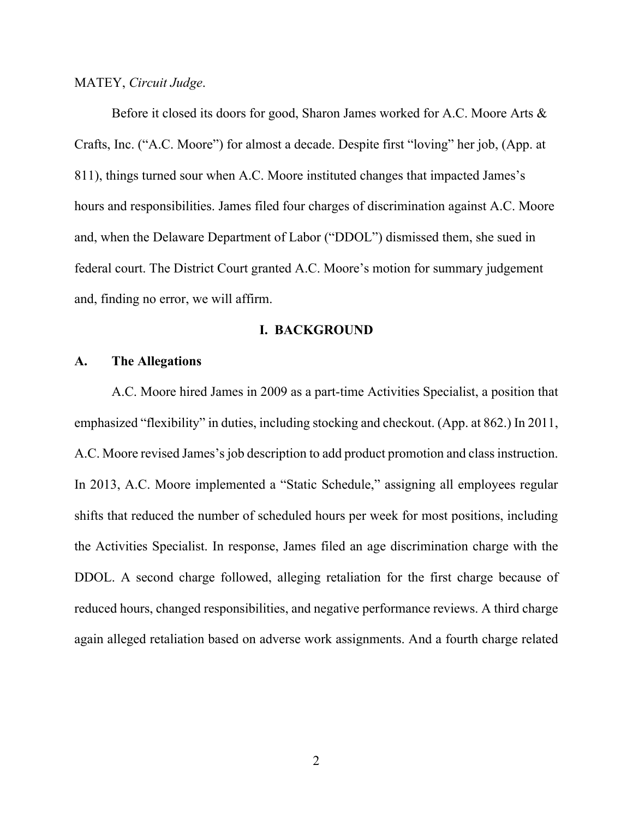#### MATEY, *Circuit Judge*.

Before it closed its doors for good, Sharon James worked for A.C. Moore Arts & Crafts, Inc. ("A.C. Moore") for almost a decade. Despite first "loving" her job, (App. at 811), things turned sour when A.C. Moore instituted changes that impacted James's hours and responsibilities. James filed four charges of discrimination against A.C. Moore and, when the Delaware Department of Labor ("DDOL") dismissed them, she sued in federal court. The District Court granted A.C. Moore's motion for summary judgement and, finding no error, we will affirm.

#### **I. BACKGROUND**

## **A. The Allegations**

A.C. Moore hired James in 2009 as a part-time Activities Specialist, a position that emphasized "flexibility" in duties, including stocking and checkout. (App. at 862.) In 2011, A.C. Moore revised James'sjob description to add product promotion and class instruction. In 2013, A.C. Moore implemented a "Static Schedule," assigning all employees regular shifts that reduced the number of scheduled hours per week for most positions, including the Activities Specialist. In response, James filed an age discrimination charge with the DDOL. A second charge followed, alleging retaliation for the first charge because of reduced hours, changed responsibilities, and negative performance reviews. A third charge again alleged retaliation based on adverse work assignments. And a fourth charge related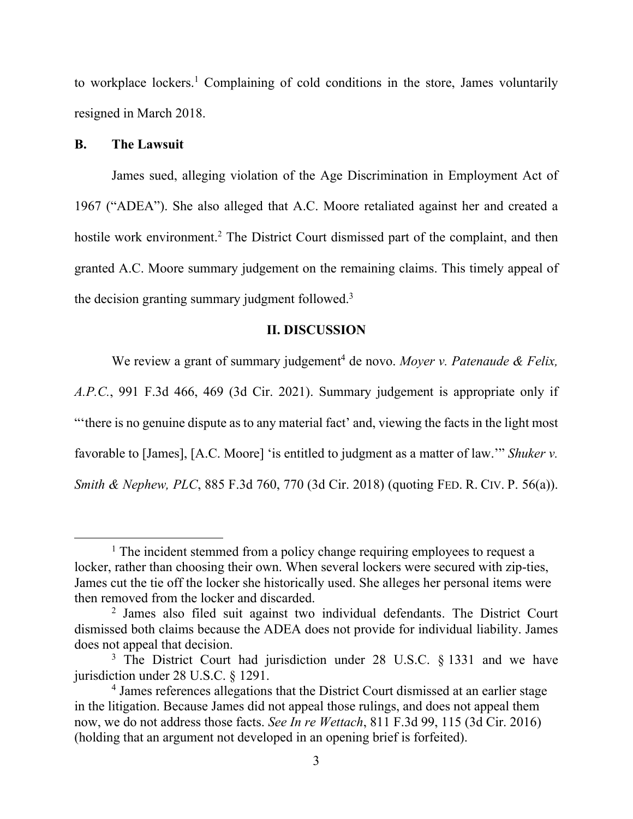to workplace lockers. <sup>1</sup> Complaining of cold conditions in the store, James voluntarily resigned in March 2018.

## **B. The Lawsuit**

James sued, alleging violation of the Age Discrimination in Employment Act of 1967 ("ADEA"). She also alleged that A.C. Moore retaliated against her and created a hostile work environment.<sup>2</sup> The District Court dismissed part of the complaint, and then granted A.C. Moore summary judgement on the remaining claims. This timely appeal of the decision granting summary judgment followed.<sup>3</sup>

#### **II. DISCUSSION**

We review a grant of summary judgement <sup>4</sup> de novo. *Moyer v. Patenaude & Felix,* 

*A.P.C.*, 991 F.3d 466, 469 (3d Cir. 2021). Summary judgement is appropriate only if "'there is no genuine dispute as to any material fact' and, viewing the facts in the light most favorable to [James], [A.C. Moore] 'is entitled to judgment as a matter of law.'" *Shuker v. Smith & Nephew, PLC, 885 F.3d 760, 770 (3d Cir. 2018) (quoting FED. R. CIV. P. 56(a)).* 

<sup>&</sup>lt;sup>1</sup> The incident stemmed from a policy change requiring employees to request a locker, rather than choosing their own. When several lockers were secured with zip-ties, James cut the tie off the locker she historically used. She alleges her personal items were then removed from the locker and discarded.

<sup>&</sup>lt;sup>2</sup> James also filed suit against two individual defendants. The District Court dismissed both claims because the ADEA does not provide for individual liability. James does not appeal that decision.

<sup>&</sup>lt;sup>3</sup> The District Court had jurisdiction under 28 U.S.C. § 1331 and we have jurisdiction under 28 U.S.C. § 1291.

<sup>&</sup>lt;sup>4</sup> James references allegations that the District Court dismissed at an earlier stage in the litigation. Because James did not appeal those rulings, and does not appeal them now, we do not address those facts. *See In re Wettach*, 811 F.3d 99, 115 (3d Cir. 2016) (holding that an argument not developed in an opening brief is forfeited).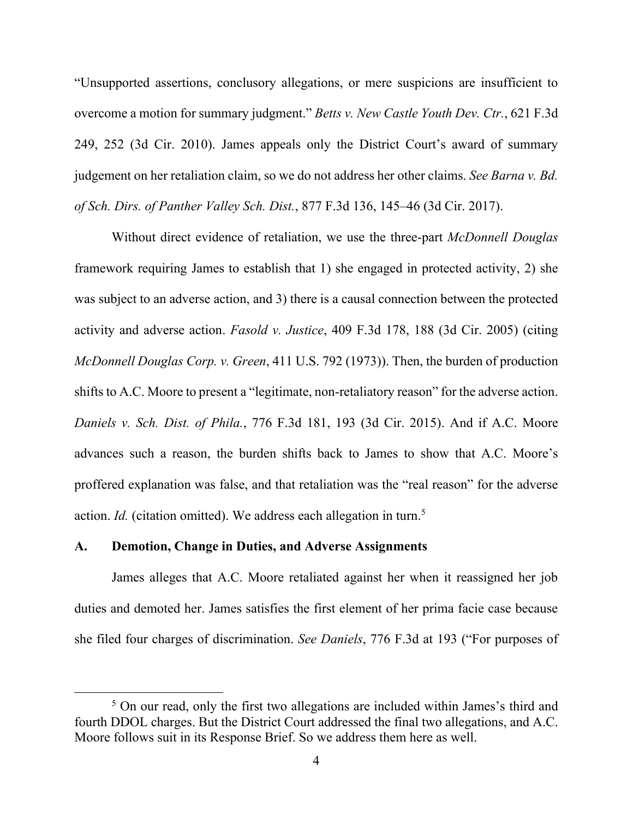"Unsupported assertions, conclusory allegations, or mere suspicions are insufficient to overcome a motion for summary judgment." *Betts v. New Castle Youth Dev. Ctr.*, 621 F.3d 249, 252 (3d Cir. 2010). James appeals only the District Court's award of summary judgement on her retaliation claim, so we do not address her other claims. *See Barna v. Bd. of Sch. Dirs. of Panther Valley Sch. Dist.*, 877 F.3d 136, 145–46 (3d Cir. 2017).

Without direct evidence of retaliation, we use the three-part *McDonnell Douglas* framework requiring James to establish that 1) she engaged in protected activity, 2) she was subject to an adverse action, and 3) there is a causal connection between the protected activity and adverse action. *Fasold v. Justice*, 409 F.3d 178, 188 (3d Cir. 2005) (citing *McDonnell Douglas Corp. v. Green*, 411 U.S. 792 (1973)). Then, the burden of production shifts to A.C. Moore to present a "legitimate, non-retaliatory reason" for the adverse action. *Daniels v. Sch. Dist. of Phila.*, 776 F.3d 181, 193 (3d Cir. 2015). And if A.C. Moore advances such a reason, the burden shifts back to James to show that A.C. Moore's proffered explanation was false, and that retaliation was the "real reason" for the adverse action. *Id.* (citation omitted). We address each allegation in turn.<sup>5</sup>

### **A. Demotion, Change in Duties, and Adverse Assignments**

James alleges that A.C. Moore retaliated against her when it reassigned her job duties and demoted her. James satisfies the first element of her prima facie case because she filed four charges of discrimination. *See Daniels*, 776 F.3d at 193 ("For purposes of

<sup>&</sup>lt;sup>5</sup> On our read, only the first two allegations are included within James's third and fourth DDOL charges. But the District Court addressed the final two allegations, and A.C. Moore follows suit in its Response Brief. So we address them here as well.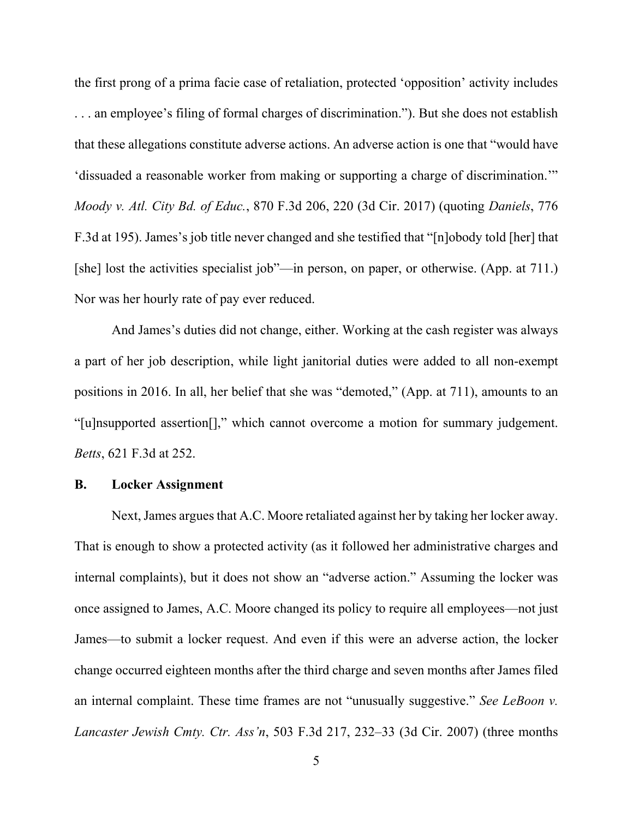the first prong of a prima facie case of retaliation, protected 'opposition' activity includes . . . an employee's filing of formal charges of discrimination."). But she does not establish that these allegations constitute adverse actions. An adverse action is one that "would have 'dissuaded a reasonable worker from making or supporting a charge of discrimination.'" *Moody v. Atl. City Bd. of Educ.*, 870 F.3d 206, 220 (3d Cir. 2017) (quoting *Daniels*, 776 F.3d at 195). James's job title never changed and she testified that "[n]obody told [her] that [she] lost the activities specialist job"—in person, on paper, or otherwise. (App. at 711.) Nor was her hourly rate of pay ever reduced.

And James's duties did not change, either. Working at the cash register was always a part of her job description, while light janitorial duties were added to all non-exempt positions in 2016. In all, her belief that she was "demoted," (App. at 711), amounts to an "[u]nsupported assertion[]," which cannot overcome a motion for summary judgement. *Betts*, 621 F.3d at 252.

#### **B. Locker Assignment**

Next, James argues that A.C. Moore retaliated against her by taking her locker away. That is enough to show a protected activity (as it followed her administrative charges and internal complaints), but it does not show an "adverse action." Assuming the locker was once assigned to James, A.C. Moore changed its policy to require all employees—not just James—to submit a locker request. And even if this were an adverse action, the locker change occurred eighteen months after the third charge and seven months after James filed an internal complaint. These time frames are not "unusually suggestive." *See LeBoon v. Lancaster Jewish Cmty. Ctr. Ass'n*, 503 F.3d 217, 232–33 (3d Cir. 2007) (three months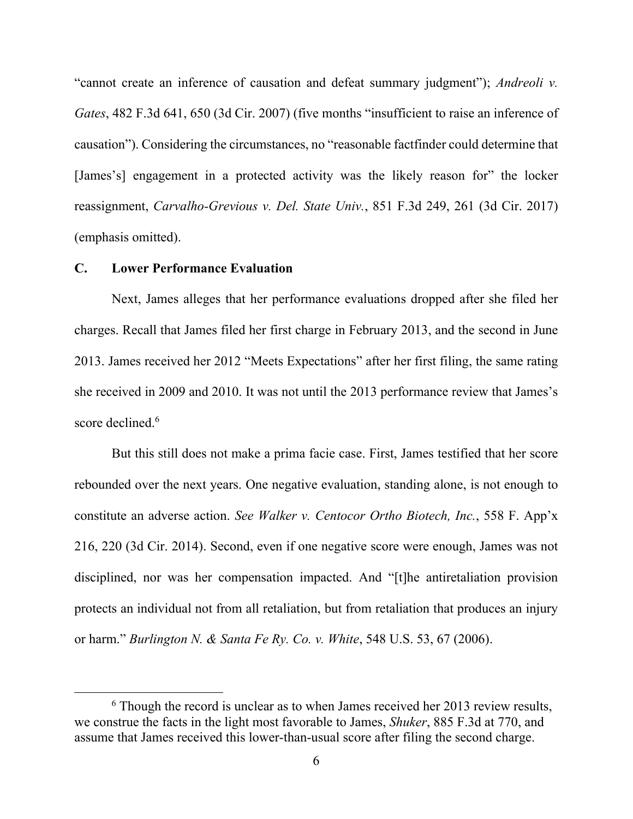"cannot create an inference of causation and defeat summary judgment"); *Andreoli v. Gates*, 482 F.3d 641, 650 (3d Cir. 2007) (five months "insufficient to raise an inference of causation"). Considering the circumstances, no "reasonable factfinder could determine that [James's] engagement in a protected activity was the likely reason for" the locker reassignment, *Carvalho-Grevious v. Del. State Univ.*, 851 F.3d 249, 261 (3d Cir. 2017) (emphasis omitted).

## **C. Lower Performance Evaluation**

Next, James alleges that her performance evaluations dropped after she filed her charges. Recall that James filed her first charge in February 2013, and the second in June 2013. James received her 2012 "Meets Expectations" after her first filing, the same rating she received in 2009 and 2010. It was not until the 2013 performance review that James's score declined. 6

But this still does not make a prima facie case. First, James testified that her score rebounded over the next years. One negative evaluation, standing alone, is not enough to constitute an adverse action. *See Walker v. Centocor Ortho Biotech, Inc.*, 558 F. App'x 216, 220 (3d Cir. 2014). Second, even if one negative score were enough, James was not disciplined, nor was her compensation impacted. And "[t]he antiretaliation provision protects an individual not from all retaliation, but from retaliation that produces an injury or harm." *Burlington N. & Santa Fe Ry. Co. v. White*, 548 U.S. 53, 67 (2006).

 $6$  Though the record is unclear as to when James received her 2013 review results, we construe the facts in the light most favorable to James, *Shuker*, 885 F.3d at 770, and assume that James received this lower-than-usual score after filing the second charge.